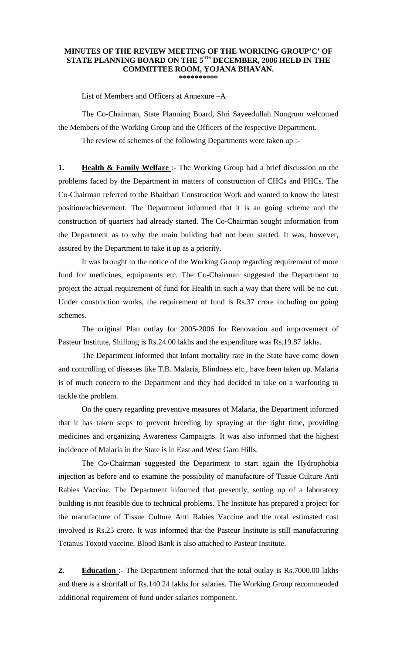## **MINUTES OF THE REVIEW MEETING OF THE WORKING GROUP'C' OF STATE PLANNING BOARD ON THE 5TH DECEMBER, 2006 HELD IN THE COMMITTEE ROOM, YOJANA BHAVAN. \*\*\*\*\*\*\*\*\*\***

List of Members and Officers at Annexure –A

 The Co-Chairman, State Planning Board, Shri Sayeedullah Nongrum welcomed the Members of the Working Group and the Officers of the respective Department.

The review of schemes of the following Departments were taken up :-

**1. Health & Family Welfare** :- The Working Group had a brief discussion on the problems faced by the Department in matters of construction of CHCs and PHCs. The Co-Chairman referred to the Bhaitbari Construction Work and wanted to know the latest position/achievement. The Department informed that it is an going scheme and the construction of quarters had already started. The Co-Chairman sought information from the Department as to why the main building had not been started. It was, however, assured by the Department to take it up as a priority.

 It was brought to the notice of the Working Group regarding requirement of more fund for medicines, equipments etc. The Co-Chairman suggested the Department to project the actual requirement of fund for Health in such a way that there will be no cut. Under construction works, the requirement of fund is Rs.37 crore including on going schemes.

 The original Plan outlay for 2005-2006 for Renovation and improvement of Pasteur Institute, Shillong is Rs.24.00 lakhs and the expenditure was Rs.19.87 lakhs.

The Department informed that infant mortality rate in the State have come down and controlling of diseases like T.B. Malaria, Blindness etc., have been taken up. Malaria is of much concern to the Department and they had decided to take on a warfooting to tackle the problem.

 On the query regarding preventive measures of Malaria, the Department informed that it has taken steps to prevent breeding by spraying at the right time, providing medicines and organizing Awareness Campaigns. It was also informed that the highest incidence of Malaria in the State is in East and West Garo Hills.

 The Co-Chairman suggested the Department to start again the Hydrophobia injection as before and to examine the possibility of manufacture of Tissue Culture Anti Rabies Vaccine. The Department informed that presently, setting up of a laboratory building is not feasible due to technical problems. The Institute has prepared a project for the manufacture of Tissue Culture Anti Rabies Vaccine and the total estimated cost involved is Rs.25 crore. It was informed that the Pasteur Institute is still manufacturing Tetanus Toxoid vaccine. Blood Bank is also attached to Pasteur Institute.

**2. Education** :- The Department informed that the total outlay is Rs.7000.00 lakhs and there is a shortfall of Rs.140.24 lakhs for salaries. The Working Group recommended additional requirement of fund under salaries component.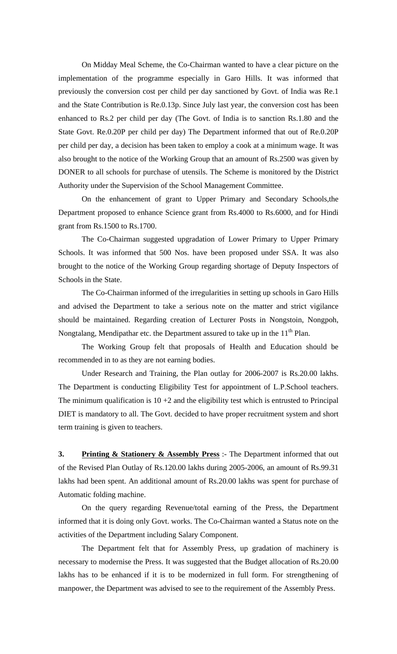On Midday Meal Scheme, the Co-Chairman wanted to have a clear picture on the implementation of the programme especially in Garo Hills. It was informed that previously the conversion cost per child per day sanctioned by Govt. of India was Re.1 and the State Contribution is Re.0.13p. Since July last year, the conversion cost has been enhanced to Rs.2 per child per day (The Govt. of India is to sanction Rs.1.80 and the State Govt. Re.0.20P per child per day) The Department informed that out of Re.0.20P per child per day, a decision has been taken to employ a cook at a minimum wage. It was also brought to the notice of the Working Group that an amount of Rs.2500 was given by DONER to all schools for purchase of utensils. The Scheme is monitored by the District Authority under the Supervision of the School Management Committee.

 On the enhancement of grant to Upper Primary and Secondary Schools,the Department proposed to enhance Science grant from Rs.4000 to Rs.6000, and for Hindi grant from Rs.1500 to Rs.1700.

 The Co-Chairman suggested upgradation of Lower Primary to Upper Primary Schools. It was informed that 500 Nos. have been proposed under SSA. It was also brought to the notice of the Working Group regarding shortage of Deputy Inspectors of Schools in the State.

 The Co-Chairman informed of the irregularities in setting up schools in Garo Hills and advised the Department to take a serious note on the matter and strict vigilance should be maintained. Regarding creation of Lecturer Posts in Nongstoin, Nongpoh, Nongtalang, Mendipathar etc. the Department assured to take up in the  $11<sup>th</sup>$  Plan.

 The Working Group felt that proposals of Health and Education should be recommended in to as they are not earning bodies.

 Under Research and Training, the Plan outlay for 2006-2007 is Rs.20.00 lakhs. The Department is conducting Eligibility Test for appointment of L.P.School teachers. The minimum qualification is  $10 + 2$  and the eligibility test which is entrusted to Principal DIET is mandatory to all. The Govt. decided to have proper recruitment system and short term training is given to teachers.

**3. Printing & Stationery & Assembly Press** :- The Department informed that out of the Revised Plan Outlay of Rs.120.00 lakhs during 2005-2006, an amount of Rs.99.31 lakhs had been spent. An additional amount of Rs.20.00 lakhs was spent for purchase of Automatic folding machine.

 On the query regarding Revenue/total earning of the Press, the Department informed that it is doing only Govt. works. The Co-Chairman wanted a Status note on the activities of the Department including Salary Component.

 The Department felt that for Assembly Press, up gradation of machinery is necessary to modernise the Press. It was suggested that the Budget allocation of Rs.20.00 lakhs has to be enhanced if it is to be modernized in full form. For strengthening of manpower, the Department was advised to see to the requirement of the Assembly Press.